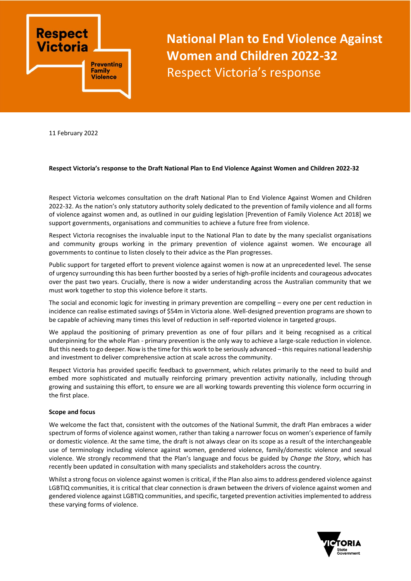

**National Plan to End Violence Against Women and Children 2022-32** Respect Victoria's response

11 February 2022

## **Respect Victoria's response to the Draft National Plan to End Violence Against Women and Children 2022-32**

Respect Victoria welcomes consultation on the draft National Plan to End Violence Against Women and Children 2022-32. As the nation's only statutory authority solely dedicated to the prevention of family violence and all forms of violence against women and, as outlined in our guiding legislation [Prevention of Family Violence Act 2018] we support governments, organisations and communities to achieve a future free from violence.

Respect Victoria recognises the invaluable input to the National Plan to date by the many specialist organisations and community groups working in the primary prevention of violence against women. We encourage all governments to continue to listen closely to their advice as the Plan progresses.

Public support for targeted effort to prevent violence against women is now at an unprecedented level. The sense of urgency surrounding this has been further boosted by a series of high-profile incidents and courageous advocates over the past two years. Crucially, there is now a wider understanding across the Australian community that we must work together to stop this violence before it starts.

The social and economic logic for investing in primary prevention are compelling – every one per cent reduction in incidence can realise estimated savings of \$54m in Victoria alone. Well-designed prevention programs are shown to be capable of achieving many times this level of reduction in self-reported violence in targeted groups.

We applaud the positioning of primary prevention as one of four pillars and it being recognised as a critical underpinning for the whole Plan - primary prevention is the only way to achieve a large-scale reduction in violence. But this needs to go deeper. Now is the time for this work to be seriously advanced – this requires national leadership and investment to deliver comprehensive action at scale across the community.

Respect Victoria has provided specific feedback to government, which relates primarily to the need to build and embed more sophisticated and mutually reinforcing primary prevention activity nationally, including through growing and sustaining this effort, to ensure we are all working towards preventing this violence form occurring in the first place.

### **Scope and focus**

We welcome the fact that, consistent with the outcomes of the National Summit, the draft Plan embraces a wider spectrum of forms of violence against women, rather than taking a narrower focus on women's experience of family or domestic violence. At the same time, the draft is not always clear on its scope as a result of the interchangeable use of terminology including violence against women, gendered violence, family/domestic violence and sexual violence. We strongly recommend that the Plan's language and focus be guided by *Change the Story*, which has recently been updated in consultation with many specialists and stakeholders across the country.

Whilst a strong focus on violence against women is critical, if the Plan also aims to address gendered violence against LGBTIQ communities, it is critical that clear connection is drawn between the drivers of violence against women and gendered violence against LGBTIQ communities, and specific, targeted prevention activities implemented to address these varying forms of violence.

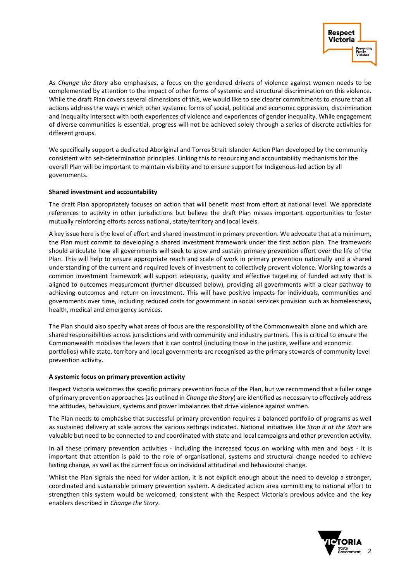

As *Change the Story* also emphasises, a focus on the gendered drivers of violence against women needs to be complemented by attention to the impact of other forms of systemic and structural discrimination on this violence. While the draft Plan covers several dimensions of this, we would like to see clearer commitments to ensure that all actions address the ways in which other systemic forms of social, political and economic oppression, discrimination and inequality intersect with both experiences of violence and experiences of gender inequality. While engagement of diverse communities is essential, progress will not be achieved solely through a series of discrete activities for different groups.

We specifically support a dedicated Aboriginal and Torres Strait Islander Action Plan developed by the community consistent with self-determination principles. Linking this to resourcing and accountability mechanisms for the overall Plan will be important to maintain visibility and to ensure support for Indigenous-led action by all governments.

## **Shared investment and accountability**

The draft Plan appropriately focuses on action that will benefit most from effort at national level. We appreciate references to activity in other jurisdictions but believe the draft Plan misses important opportunities to foster mutually reinforcing efforts across national, state/territory and local levels.

A key issue here is the level of effort and shared investment in primary prevention. We advocate that at a minimum, the Plan must commit to developing a shared investment framework under the first action plan. The framework should articulate how all governments will seek to grow and sustain primary prevention effort over the life of the Plan. This will help to ensure appropriate reach and scale of work in primary prevention nationally and a shared understanding of the current and required levels of investment to collectively prevent violence. Working towards a common investment framework will support adequacy, quality and effective targeting of funded activity that is aligned to outcomes measurement (further discussed below), providing all governments with a clear pathway to achieving outcomes and return on investment. This will have positive impacts for individuals, communities and governments over time, including reduced costs for government in social services provision such as homelessness, health, medical and emergency services.

The Plan should also specify what areas of focus are the responsibility of the Commonwealth alone and which are shared responsibilities across jurisdictions and with community and industry partners. This is critical to ensure the Commonwealth mobilises the levers that it can control (including those in the justice, welfare and economic portfolios) while state, territory and local governments are recognised as the primary stewards of community level prevention activity.

## **A systemic focus on primary prevention activity**

Respect Victoria welcomes the specific primary prevention focus of the Plan, but we recommend that a fuller range of primary prevention approaches (as outlined in *Change the Story*) are identified as necessary to effectively address the attitudes, behaviours, systems and power imbalances that drive violence against women.

The Plan needs to emphasise that successful primary prevention requires a balanced portfolio of programs as well as sustained delivery at scale across the various settings indicated. National initiatives like *Stop it at the Start* are valuable but need to be connected to and coordinated with state and local campaigns and other prevention activity.

In all these primary prevention activities - including the increased focus on working with men and boys - it is important that attention is paid to the role of organisational, systems and structural change needed to achieve lasting change, as well as the current focus on individual attitudinal and behavioural change.

Whilst the Plan signals the need for wider action, it is not explicit enough about the need to develop a stronger, coordinated and sustainable primary prevention system. A dedicated action area committing to national effort to strengthen this system would be welcomed, consistent with the Respect Victoria's previous advice and the key enablers described in *Change the Story*.